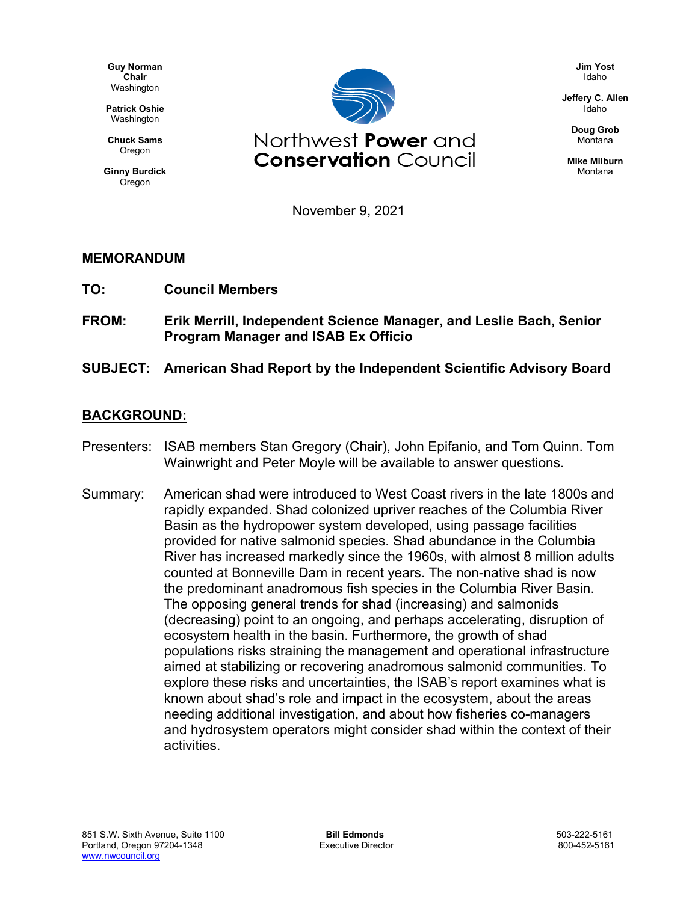**Guy Norman Chair** Washington

**Patrick Oshie** Washington

**Chuck Sams** Oregon

**Ginny Burdick Oregon** 



**Jim Yost** Idaho

**Jeffery C. Allen** Idaho

> **Doug Grob** Montana

**Mike Milburn** Montana

November 9, 2021

## **MEMORANDUM**

- **TO: Council Members**
- **FROM: Erik Merrill, Independent Science Manager, and Leslie Bach, Senior Program Manager and ISAB Ex Officio**
- **SUBJECT: American Shad Report by the Independent Scientific Advisory Board**

## **BACKGROUND:**

- Presenters: ISAB members Stan Gregory (Chair), John Epifanio, and Tom Quinn. Tom Wainwright and Peter Moyle will be available to answer questions.
- Summary: American shad were introduced to West Coast rivers in the late 1800s and rapidly expanded. Shad colonized upriver reaches of the Columbia River Basin as the hydropower system developed, using passage facilities provided for native salmonid species. Shad abundance in the Columbia River has increased markedly since the 1960s, with almost 8 million adults counted at Bonneville Dam in recent years. The non-native shad is now the predominant anadromous fish species in the Columbia River Basin. The opposing general trends for shad (increasing) and salmonids (decreasing) point to an ongoing, and perhaps accelerating, disruption of ecosystem health in the basin. Furthermore, the growth of shad populations risks straining the management and operational infrastructure aimed at stabilizing or recovering anadromous salmonid communities. To explore these risks and uncertainties, the ISAB's report examines what is known about shad's role and impact in the ecosystem, about the areas needing additional investigation, and about how fisheries co-managers and hydrosystem operators might consider shad within the context of their activities.